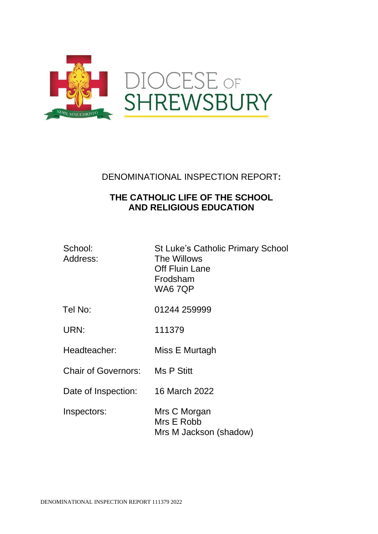

DENOMINATIONAL INSPECTION REPORT**:**

# **THE CATHOLIC LIFE OF THE SCHOOL AND RELIGIOUS EDUCATION**

| School:<br>Address: | <b>St Luke's Catholic Primary School</b><br>The Willows<br>Off Fluin Lane<br>Frodsham<br>WA67QP |
|---------------------|-------------------------------------------------------------------------------------------------|
| Tel No:             | 01244 259999                                                                                    |

URN: 111379

Headteacher: Miss E Murtagh

Chair of Governors: Ms P Stitt

Date of Inspection: 16 March 2022

Inspectors: Mrs C Morgan Mrs E Robb Mrs M Jackson (shadow)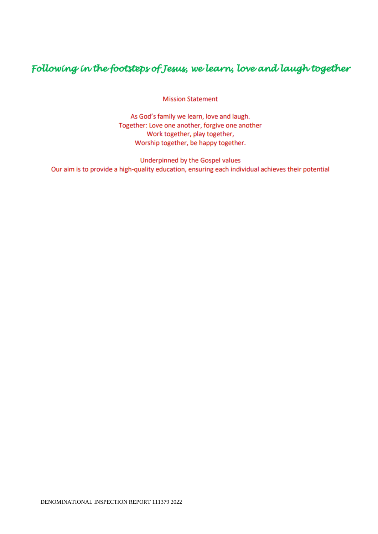# Following in the footsteps of Jesus, we learn, love and laugh together

**Mission Statement** 

As God's family we learn, love and laugh. Together: Love one another, forgive one another Work together, play together, Worship together, be happy together.

Underpinned by the Gospel values Our aim is to provide a high-quality education, ensuring each individual achieves their potential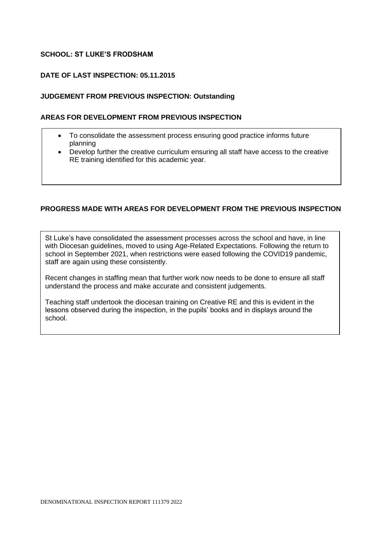# **SCHOOL: ST LUKE'S FRODSHAM**

#### **DATE OF LAST INSPECTION: 05.11.2015**

#### **JUDGEMENT FROM PREVIOUS INSPECTION: Outstanding**

#### **AREAS FOR DEVELOPMENT FROM PREVIOUS INSPECTION**

- To consolidate the assessment process ensuring good practice informs future planning
- Develop further the creative curriculum ensuring all staff have access to the creative RE training identified for this academic year.

# **PROGRESS MADE WITH AREAS FOR DEVELOPMENT FROM THE PREVIOUS INSPECTION**

St Luke's have consolidated the assessment processes across the school and have, in line with Diocesan guidelines, moved to using Age-Related Expectations. Following the return to school in September 2021, when restrictions were eased following the COVID19 pandemic, staff are again using these consistently.

Recent changes in staffing mean that further work now needs to be done to ensure all staff understand the process and make accurate and consistent judgements.

Teaching staff undertook the diocesan training on Creative RE and this is evident in the lessons observed during the inspection, in the pupils' books and in displays around the school.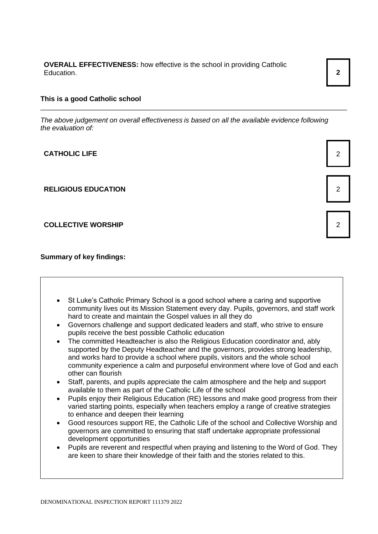**OVERALL EFFECTIVENESS:** how effective is the school in providing Catholic Education. **2**

#### **This is a good Catholic school**

*The above judgement on overall effectiveness is based on all the available evidence following the evaluation of:*

\_\_\_\_\_\_\_\_\_\_\_\_\_\_\_\_\_\_\_\_\_\_\_\_\_\_\_\_\_\_\_\_\_\_\_\_\_\_\_\_\_\_\_\_\_\_\_\_\_\_\_\_\_\_\_\_\_\_\_\_\_\_\_\_\_\_\_\_\_\_\_\_\_\_\_\_\_\_\_

**CATHOLIC LIFE** 2

**RELIGIOUS EDUCATION** 2

#### **COLLECTIVE WORSHIP** 2

**Summary of key findings:**

- St Luke's Catholic Primary School is a good school where a caring and supportive community lives out its Mission Statement every day. Pupils, governors, and staff work hard to create and maintain the Gospel values in all they do
- Governors challenge and support dedicated leaders and staff, who strive to ensure pupils receive the best possible Catholic education
- The committed Headteacher is also the Religious Education coordinator and, ably supported by the Deputy Headteacher and the governors, provides strong leadership, and works hard to provide a school where pupils, visitors and the whole school community experience a calm and purposeful environment where love of God and each other can flourish
- Staff, parents, and pupils appreciate the calm atmosphere and the help and support available to them as part of the Catholic Life of the school
- Pupils enjoy their Religious Education (RE) lessons and make good progress from their varied starting points, especially when teachers employ a range of creative strategies to enhance and deepen their learning
- Good resources support RE, the Catholic Life of the school and Collective Worship and governors are committed to ensuring that staff undertake appropriate professional development opportunities
- Pupils are reverent and respectful when praying and listening to the Word of God. They are keen to share their knowledge of their faith and the stories related to this.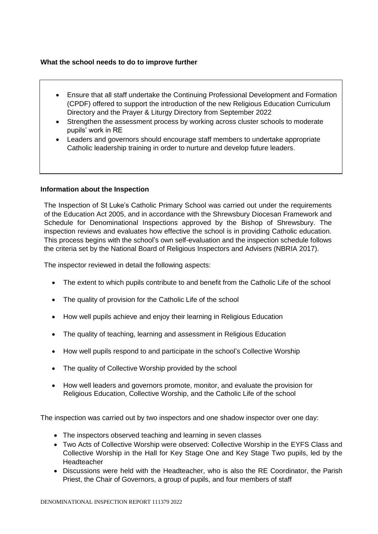### **What the school needs to do to improve further**

- Ensure that all staff undertake the Continuing Professional Development and Formation (CPDF) offered to support the introduction of the new Religious Education Curriculum Directory and the Prayer & Liturgy Directory from September 2022
- Strengthen the assessment process by working across cluster schools to moderate pupils' work in RE
- Leaders and governors should encourage staff members to undertake appropriate Catholic leadership training in order to nurture and develop future leaders.

#### **Information about the Inspection**

The Inspection of St Luke's Catholic Primary School was carried out under the requirements of the Education Act 2005, and in accordance with the Shrewsbury Diocesan Framework and Schedule for Denominational Inspections approved by the Bishop of Shrewsbury. The inspection reviews and evaluates how effective the school is in providing Catholic education. This process begins with the school's own self-evaluation and the inspection schedule follows the criteria set by the National Board of Religious Inspectors and Advisers (NBRIA 2017).

The inspector reviewed in detail the following aspects:

- The extent to which pupils contribute to and benefit from the Catholic Life of the school
- The quality of provision for the Catholic Life of the school
- How well pupils achieve and enjoy their learning in Religious Education
- The quality of teaching, learning and assessment in Religious Education
- How well pupils respond to and participate in the school's Collective Worship
- The quality of Collective Worship provided by the school
- How well leaders and governors promote, monitor, and evaluate the provision for Religious Education, Collective Worship, and the Catholic Life of the school

The inspection was carried out by two inspectors and one shadow inspector over one day:

- The inspectors observed teaching and learning in seven classes
- Two Acts of Collective Worship were observed: Collective Worship in the EYFS Class and Collective Worship in the Hall for Key Stage One and Key Stage Two pupils, led by the **Headteacher**
- Discussions were held with the Headteacher, who is also the RE Coordinator, the Parish Priest, the Chair of Governors, a group of pupils, and four members of staff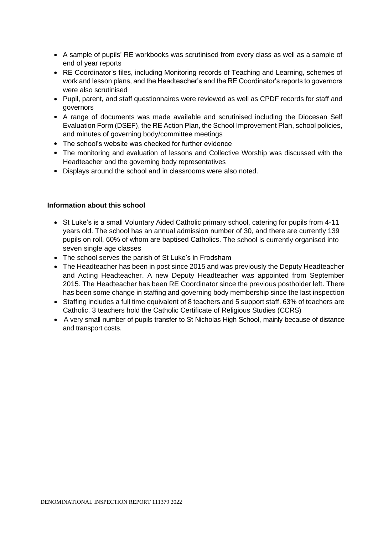- A sample of pupils' RE workbooks was scrutinised from every class as well as a sample of end of year reports
- RE Coordinator's files, including Monitoring records of Teaching and Learning, schemes of work and lesson plans, and the Headteacher's and the RE Coordinator's reports to governors were also scrutinised
- Pupil, parent, and staff questionnaires were reviewed as well as CPDF records for staff and governors
- A range of documents was made available and scrutinised including the Diocesan Self Evaluation Form (DSEF), the RE Action Plan, the School Improvement Plan, school policies, and minutes of governing body/committee meetings
- The school's website was checked for further evidence
- The monitoring and evaluation of lessons and Collective Worship was discussed with the Headteacher and the governing body representatives
- Displays around the school and in classrooms were also noted.

#### **Information about this school**

- St Luke's is a small Voluntary Aided Catholic primary school, catering for pupils from 4-11 years old. The school has an annual admission number of 30, and there are currently 139 pupils on roll, 60% of whom are baptised Catholics. The school is currently organised into seven single age classes
- The school serves the parish of St Luke's in Frodsham
- The Headteacher has been in post since 2015 and was previously the Deputy Headteacher and Acting Headteacher. A new Deputy Headteacher was appointed from September 2015. The Headteacher has been RE Coordinator since the previous postholder left. There has been some change in staffing and governing body membership since the last inspection
- Staffing includes a full time equivalent of 8 teachers and 5 support staff. 63% of teachers are Catholic. 3 teachers hold the Catholic Certificate of Religious Studies (CCRS)
- A very small number of pupils transfer to St Nicholas High School, mainly because of distance and transport costs.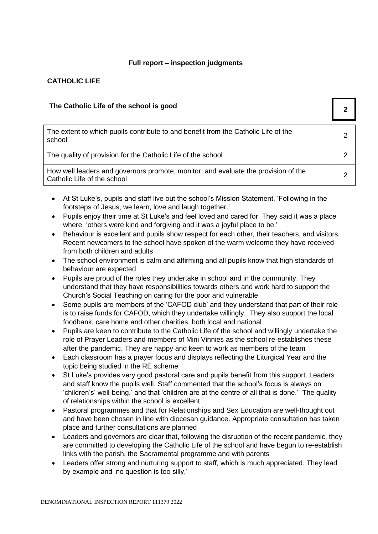# **Full report – inspection judgments**

# **CATHOLIC LIFE**

# **The Catholic Life of the school is good 2**

| The extent to which pupils contribute to and benefit from the Catholic Life of the<br>school                      | ົ |
|-------------------------------------------------------------------------------------------------------------------|---|
| The quality of provision for the Catholic Life of the school                                                      |   |
| How well leaders and governors promote, monitor, and evaluate the provision of the<br>Catholic Life of the school |   |

- At St Luke's, pupils and staff live out the school's Mission Statement, 'Following in the footsteps of Jesus, we learn, love and laugh together.'
- Pupils enjoy their time at St Luke's and feel loved and cared for. They said it was a place where, 'others were kind and forgiving and it was a joyful place to be.'
- Behaviour is excellent and pupils show respect for each other, their teachers, and visitors. Recent newcomers to the school have spoken of the warm welcome they have received from both children and adults
- The school environment is calm and affirming and all pupils know that high standards of behaviour are expected
- Pupils are proud of the roles they undertake in school and in the community. They understand that they have responsibilities towards others and work hard to support the Church's Social Teaching on caring for the poor and vulnerable
- Some pupils are members of the 'CAFOD club' and they understand that part of their role is to raise funds for CAFOD, which they undertake willingly. They also support the local foodbank, care home and other charities, both local and national
- Pupils are keen to contribute to the Catholic Life of the school and willingly undertake the role of Prayer Leaders and members of Mini Vinnies as the school re-establishes these after the pandemic. They are happy and keen to work as members of the team
- Each classroom has a prayer focus and displays reflecting the Liturgical Year and the topic being studied in the RE scheme
- St Luke's provides very good pastoral care and pupils benefit from this support. Leaders and staff know the pupils well. Staff commented that the school's focus is always on 'children's' well-being,' and that 'children are at the centre of all that is done.' The quality of relationships within the school is excellent
- Pastoral programmes and that for Relationships and Sex Education are well-thought out and have been chosen in line with diocesan guidance. Appropriate consultation has taken place and further consultations are planned
- Leaders and governors are clear that, following the disruption of the recent pandemic, they are committed to developing the Catholic Life of the school and have begun to re-establish links with the parish, the Sacramental programme and with parents
- Leaders offer strong and nurturing support to staff, which is much appreciated. They lead by example and 'no question is too silly,'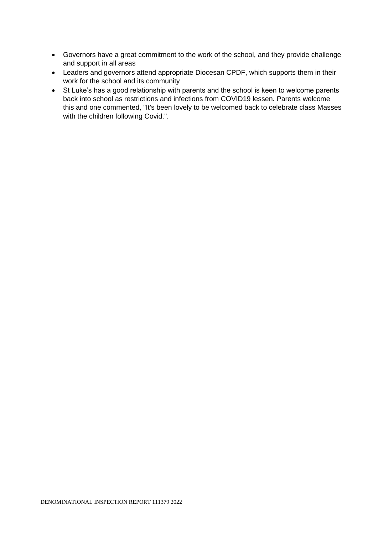- Governors have a great commitment to the work of the school, and they provide challenge and support in all areas
- Leaders and governors attend appropriate Diocesan CPDF, which supports them in their work for the school and its community
- St Luke's has a good relationship with parents and the school is keen to welcome parents back into school as restrictions and infections from COVID19 lessen. Parents welcome this and one commented, "It's been lovely to be welcomed back to celebrate class Masses with the children following Covid.".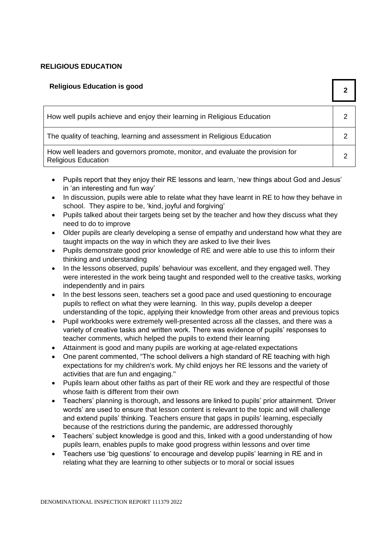# **RELIGIOUS EDUCATION**

| <b>Religious Education is good</b>                                                                            |   |
|---------------------------------------------------------------------------------------------------------------|---|
| How well pupils achieve and enjoy their learning in Religious Education                                       |   |
| The quality of teaching, learning and assessment in Religious Education                                       |   |
| How well leaders and governors promote, monitor, and evaluate the provision for<br><b>Religious Education</b> | າ |

- Pupils report that they enjoy their RE lessons and learn, 'new things about God and Jesus' in 'an interesting and fun way'
- In discussion, pupils were able to relate what they have learnt in RE to how they behave in school. They aspire to be, 'kind, joyful and forgiving'
- Pupils talked about their targets being set by the teacher and how they discuss what they need to do to improve
- Older pupils are clearly developing a sense of empathy and understand how what they are taught impacts on the way in which they are asked to live their lives
- Pupils demonstrate good prior knowledge of RE and were able to use this to inform their thinking and understanding
- In the lessons observed, pupils' behaviour was excellent, and they engaged well. They were interested in the work being taught and responded well to the creative tasks, working independently and in pairs
- In the best lessons seen, teachers set a good pace and used questioning to encourage pupils to reflect on what they were learning. In this way, pupils develop a deeper understanding of the topic, applying their knowledge from other areas and previous topics
- Pupil workbooks were extremely well-presented across all the classes, and there was a variety of creative tasks and written work. There was evidence of pupils' responses to teacher comments, which helped the pupils to extend their learning
- Attainment is good and many pupils are working at age-related expectations
- One parent commented, "The school delivers a high standard of RE teaching with high expectations for my children's work. My child enjoys her RE lessons and the variety of activities that are fun and engaging."
- Pupils learn about other faiths as part of their RE work and they are respectful of those whose faith is different from their own
- Teachers' planning is thorough, and lessons are linked to pupils' prior attainment. 'Driver words' are used to ensure that lesson content is relevant to the topic and will challenge and extend pupils' thinking. Teachers ensure that gaps in pupils' learning, especially because of the restrictions during the pandemic, are addressed thoroughly
- Teachers' subject knowledge is good and this, linked with a good understanding of how pupils learn, enables pupils to make good progress within lessons and over time
- Teachers use 'big questions' to encourage and develop pupils' learning in RE and in relating what they are learning to other subjects or to moral or social issues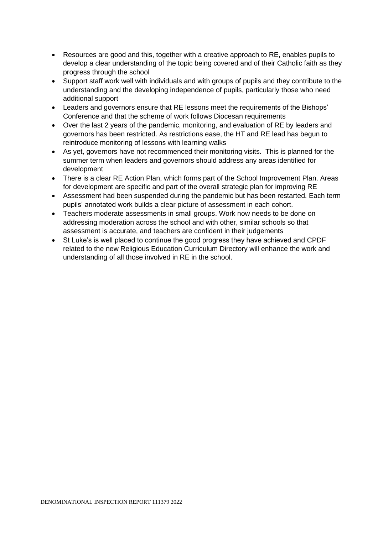- Resources are good and this, together with a creative approach to RE, enables pupils to develop a clear understanding of the topic being covered and of their Catholic faith as they progress through the school
- Support staff work well with individuals and with groups of pupils and they contribute to the understanding and the developing independence of pupils, particularly those who need additional support
- Leaders and governors ensure that RE lessons meet the requirements of the Bishops' Conference and that the scheme of work follows Diocesan requirements
- Over the last 2 years of the pandemic, monitoring, and evaluation of RE by leaders and governors has been restricted. As restrictions ease, the HT and RE lead has begun to reintroduce monitoring of lessons with learning walks
- As yet, governors have not recommenced their monitoring visits. This is planned for the summer term when leaders and governors should address any areas identified for development
- There is a clear RE Action Plan, which forms part of the School Improvement Plan. Areas for development are specific and part of the overall strategic plan for improving RE
- Assessment had been suspended during the pandemic but has been restarted. Each term pupils' annotated work builds a clear picture of assessment in each cohort.
- Teachers moderate assessments in small groups. Work now needs to be done on addressing moderation across the school and with other, similar schools so that assessment is accurate, and teachers are confident in their judgements
- St Luke's is well placed to continue the good progress they have achieved and CPDF related to the new Religious Education Curriculum Directory will enhance the work and understanding of all those involved in RE in the school.